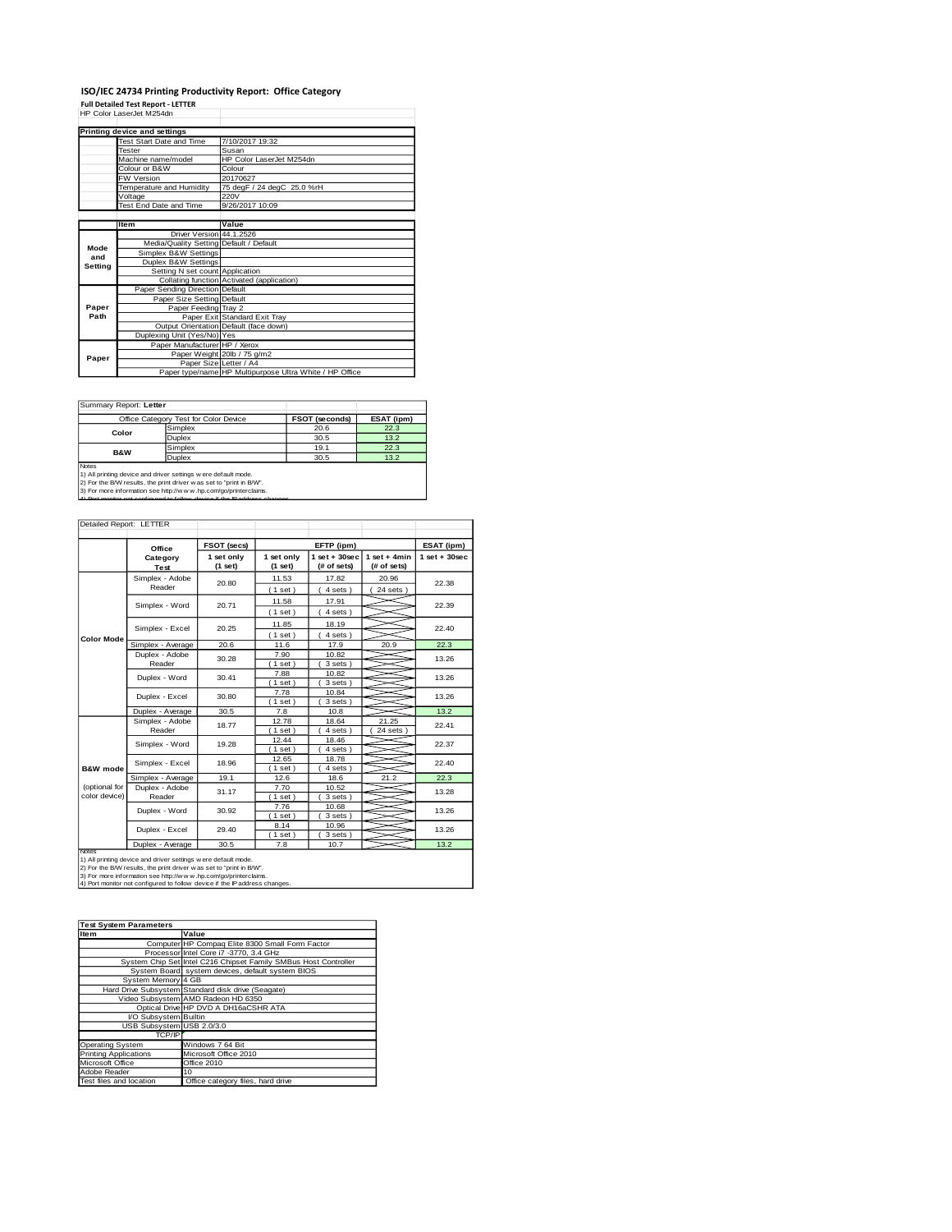## **ISO/IEC 24734 Printing Productivity Report: Office Category<br>Full Detailed Test Report - LETTER<br>HP Color LaserJet M254dn**

|         | Printing device and settings            |                                                         |
|---------|-----------------------------------------|---------------------------------------------------------|
|         | Test Start Date and Time                | 7/10/2017 19:32                                         |
|         | <b>Tester</b>                           | Susan                                                   |
|         | Machine name/model                      | HP Color Laser let M254dn                               |
|         | Colour or B&W                           | Colour                                                  |
|         | <b>FW Version</b>                       | 20170627                                                |
|         | Temperature and Humidity                | 75 degF / 24 degC 25.0 %rH                              |
|         | Voltage                                 | 220V                                                    |
|         | Test End Date and Time                  | 9/26/2017 10:09                                         |
|         |                                         |                                                         |
|         | <b>Item</b>                             | Value                                                   |
|         | Driver Version 44.1.2526                |                                                         |
| Mode    | Media/Quality Setting Default / Default |                                                         |
| and     | Simplex B&W Settings                    |                                                         |
| Setting | Duplex B&W Settings                     |                                                         |
|         | Setting N set count Application         |                                                         |
|         |                                         | Collating function Activated (application)              |
|         | Paper Sending Direction Default         |                                                         |
|         | Paper Size Setting Default              |                                                         |
| Paper   | Paper Feeding Tray 2                    |                                                         |
| Path    |                                         | Paper Exit Standard Exit Tray                           |
|         |                                         | Output Orientation Default (face down)                  |
|         | Duplexing Unit (Yes/No) Yes             |                                                         |
|         | Paper Manufacturer HP / Xerox           |                                                         |
| Paper   |                                         | Paper Weight 20lb / 75 g/m2                             |
|         | Paper Size Letter / A4                  |                                                         |
|         |                                         | Paper type/name HP Multipurpose Ultra White / HP Office |

ĭ

Summary Report: **Letter**

|                                                                                                                                                                                                                                                                                                       | Office Category Test for Color Device | FSOT (seconds) | ESAT (ipm) |  |  |
|-------------------------------------------------------------------------------------------------------------------------------------------------------------------------------------------------------------------------------------------------------------------------------------------------------|---------------------------------------|----------------|------------|--|--|
| Color                                                                                                                                                                                                                                                                                                 | Simplex                               | 20.6           | 22.3       |  |  |
|                                                                                                                                                                                                                                                                                                       | Duplex                                | 30.5           | 13.2       |  |  |
| <b>B&amp;W</b>                                                                                                                                                                                                                                                                                        | Simplex                               | 19.1           | 22.3       |  |  |
|                                                                                                                                                                                                                                                                                                       | <b>Duplex</b>                         | 30.5           | 13.2       |  |  |
| <b>Notes</b><br>1) All printing device and driver settings w ere default mode.<br>2) For the B/W results, the print driver was set to "print in B/W".<br>3) For more information see http://www.hp.com/go/printerclaims.<br>4) Dort monitor not configured to follow device if the ID address changes |                                       |                |            |  |  |

| Detailed Report: LETTER        |                           |                       |                                      |                                |                               |                 |
|--------------------------------|---------------------------|-----------------------|--------------------------------------|--------------------------------|-------------------------------|-----------------|
|                                | Office                    | <b>FSOT (secs)</b>    | EFTP (ipm)                           |                                |                               | ESAT (ipm)      |
|                                | Category<br>Test          | 1 set only<br>(1 set) | 1 set only<br>(1 set)                | $1$ set + 30sec<br>(# of sets) | $1$ set + 4min<br>(# of sets) | $1$ set + 30sec |
|                                | Simplex - Adobe<br>Reader | 20.80                 | 11.53<br>(1 set)                     | 17.82<br>4 sets)               | 20.96<br>24 sets              | 22.38           |
|                                | Simplex - Word            | 20.71                 | 11.58<br>(1 set)                     | 17.91<br>4 sets)               |                               | 22.39           |
| Color Mode                     | Simplex - Excel           | 20.25                 | 11.85<br>(1 set)                     | 18.19<br>4 sets)               |                               | 22.40           |
|                                | Simplex - Average         | 20.6                  | 11.6                                 | 17.9                           | 20.9                          | 22.3            |
|                                | Duplex - Adobe<br>Reader  | 30.28                 | 7.90<br>$1$ set $)$                  | 10.82<br>3 sets)               |                               | 13.26           |
|                                | Duplex - Word             | 30.41                 | 7.88<br>(1 set)                      | 10.82<br>3 sets)               |                               | 13.26           |
|                                | Duplex - Excel            | 30.80                 | 7.78<br>10.84<br>$1$ set)<br>3 sets) |                                | 13.26                         |                 |
|                                | Duplex - Average          | 30.5                  | 7.8                                  | 10.8                           |                               | 13.2            |
|                                | Simplex - Adobe<br>Reader | 18.77                 | 12.78<br>(1 set)                     | 18.64<br>4 sets)               | 21.25<br>$24$ sets $)$        | 22.41           |
|                                | Simplex - Word            | 19.28                 | 12.44<br>$1$ set $)$                 | 18.46<br>4 sets)               |                               | 22.37           |
| <b>B&amp;W</b> mode            | Simplex - Excel           | 18.96                 | 12.65<br>(1 set)                     | 18.78<br>4 sets)               |                               | 22.40           |
|                                | Simplex - Average         | 19.1                  | 12.6                                 | 18.6                           | 21.2                          | 22.3            |
| (optional for<br>color device) | Duplex - Adobe<br>Reader  | 31.17                 | 7.70<br>1 set                        | 10.52<br>3 sets                |                               | 13.28           |
|                                | Duplex - Word             | 30.92                 | 7.76<br>$1$ set)                     | 10.68<br>3 sets)               |                               | 13.26           |
|                                | Duplex - Excel            | 29.40                 | 8.14<br>$1$ set)                     | 10.96<br>3 sets)               |                               | 13.26           |
| Notes                          | Duplex - Average          | 30.5                  | 7.8                                  | 10.7                           |                               | 13.2            |

Notes<br>1) All printing device and driver settings were default mode.<br>2) For the B/W results, the print driver was set to "print in B/W".<br>3) For more information see http://w.w. hp.com/go/printerclaims.<br>4) Por monitor not co

| <b>Test System Parameters</b> |                                                                 |  |  |  |  |
|-------------------------------|-----------------------------------------------------------------|--|--|--|--|
| Item                          | Value                                                           |  |  |  |  |
|                               | Computer HP Compaq Elite 8300 Small Form Factor                 |  |  |  |  |
|                               | Processor Intel Core i7 -3770, 3.4 GHz                          |  |  |  |  |
|                               | System Chip Set Intel C216 Chipset Family SMBus Host Controller |  |  |  |  |
|                               | System Board system devices, default system BIOS                |  |  |  |  |
| System Memory 4 GB            |                                                                 |  |  |  |  |
|                               | Hard Drive Subsystem Standard disk drive (Seagate)              |  |  |  |  |
|                               | Video Subsystem AMD Radeon HD 6350                              |  |  |  |  |
|                               | Optical Drive HP DVD A DH16aCSHR ATA                            |  |  |  |  |
| I/O Subsystem Builtin         |                                                                 |  |  |  |  |
| USB Subsystem USB 2.0/3.0     |                                                                 |  |  |  |  |
| TCP/IP                        |                                                                 |  |  |  |  |
| <b>Operating System</b>       | Windows 7 64 Bit                                                |  |  |  |  |
| <b>Printing Applications</b>  | Microsoft Office 2010                                           |  |  |  |  |
| Microsoft Office              | Office 2010                                                     |  |  |  |  |
| Adobe Reader                  | 10                                                              |  |  |  |  |
| Test files and location       | Office category files, hard drive                               |  |  |  |  |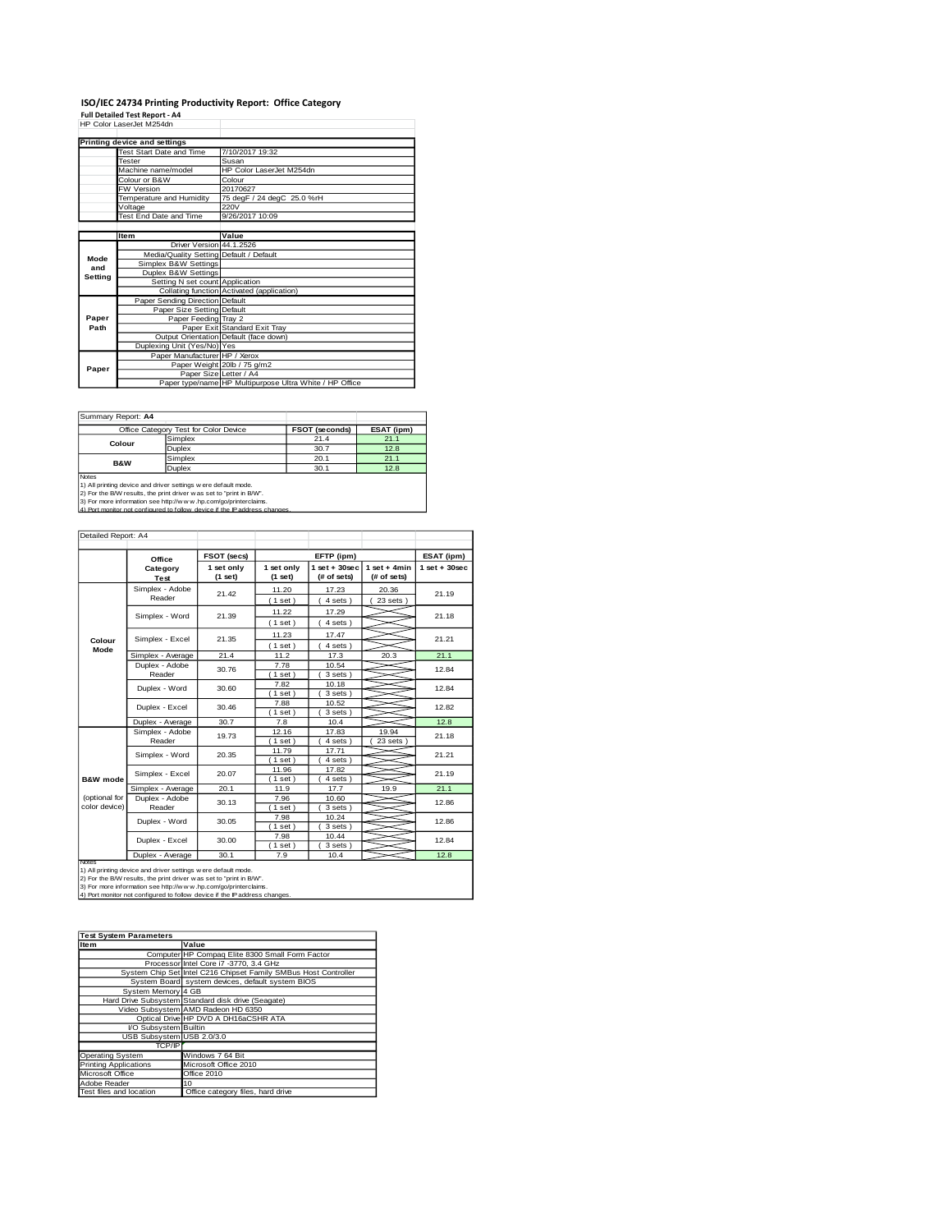# **ISO/IEC 24734 Printing Productivity Report: Office Category<br>Full Detailed Test Report - A4<br>HP Color LaserJet M254dn**

|         | HP Color LaserJet M254dn                |                                                         |
|---------|-----------------------------------------|---------------------------------------------------------|
|         | Printing device and settings            |                                                         |
|         | Test Start Date and Time                | 7/10/2017 19:32                                         |
|         | Tester                                  | Susan                                                   |
|         | Machine name/model                      | HP Color LaserJet M254dn                                |
|         | Colour or B&W                           | Colour                                                  |
|         | FW Version                              | 20170627                                                |
|         | Temperature and Humidity                | 75 degF / 24 degC 25.0 %rH                              |
|         | Voltage                                 | 220V                                                    |
|         | Test End Date and Time                  | 9/26/2017 10:09                                         |
|         |                                         |                                                         |
|         | <b>Item</b>                             | Value                                                   |
|         | Driver Version 44.1.2526                |                                                         |
| Mode    | Media/Quality Setting Default / Default |                                                         |
| and     | Simplex B&W Settings                    |                                                         |
| Setting | Duplex B&W Settings                     |                                                         |
|         | Setting N set count Application         |                                                         |
|         |                                         | Collating function Activated (application)              |
|         | Paper Sending Direction Default         |                                                         |
|         | Paper Size Setting Default              |                                                         |
| Paper   | Paper Feeding Tray 2                    |                                                         |
| Path    |                                         | Paper Exit Standard Exit Tray                           |
|         |                                         | Output Orientation Default (face down)                  |
|         | Duplexing Unit (Yes/No) Yes             |                                                         |
|         | Paper Manufacturer HP / Xerox           |                                                         |
| Paper   |                                         | Paper Weight 20lb / 75 g/m2                             |
|         | Paper Size Letter / A4                  |                                                         |
|         |                                         | Paper type/name HP Multipurpose Ultra White / HP Office |

Summary Report: **A4**

|                                                                         | Office Category Test for Color Device | <b>FSOT (seconds)</b> | ESAT (ipm) |  |  |
|-------------------------------------------------------------------------|---------------------------------------|-----------------------|------------|--|--|
| Colour                                                                  | Simplex                               | 21.4                  | 21.1       |  |  |
|                                                                         | Duplex                                | 30.7                  | 12.8       |  |  |
| <b>B&amp;W</b>                                                          | Simplex                               | 20.1                  | 21.1       |  |  |
|                                                                         | Duplex                                | 30.1                  | 12.8       |  |  |
| Notes<br>1) All printing device and driver settings w ere default mode. |                                       |                       |            |  |  |

1) All printing device and driver settings were default mode.<br>2) For the B/W results, the print driver was set to "print in B/W".<br>3) For more information see http://www.hp.com/go/printerclaims.<br>4) Port monitor not configur

| Detailed Report: A4            |                            |                       |                       |                                               |                                |                 |
|--------------------------------|----------------------------|-----------------------|-----------------------|-----------------------------------------------|--------------------------------|-----------------|
|                                |                            | FSOT (secs)           |                       | EFTP (ipm)                                    |                                | ESAT (ipm)      |
|                                | Office<br>Category<br>Test | 1 set only<br>(1 set) | 1 set only<br>(1 set) | $1$ set + $30$ sec<br>(# of sets)             | $1 set + 4 min$<br>(# of sets) | $1$ set + 30sec |
|                                | Simplex - Adobe<br>Reader  | 21.42                 | 11.20<br>(1 set)      | 17.23<br>20.36<br>$23$ sets $)$<br>$4 sets$ ) |                                | 21.19           |
|                                | Simplex - Word             | 21.39                 | 11.22<br>(1 set)      | 17.29<br>4 sets)                              |                                | 21.18           |
| Colour                         | Simplex - Excel            | 21.35                 | 11.23<br>(1 set)      | 17.47<br>$4 sets$ )                           |                                | 21.21           |
| Mode                           | Simplex - Average          | 21.4                  | 11.2                  | 17.3                                          | 20.3                           | 21.1            |
|                                | Duplex - Adobe<br>Reader   | 30.76                 | 7.78<br>$1$ set $)$   | 10.54<br>3 sets)                              |                                | 12.84           |
|                                | Duplex - Word              | 30.60                 | 7.82<br>(1 set)       | 10.18<br>3 sets)                              |                                | 12.84           |
|                                | Duplex - Excel             | 30.46                 | 7.88<br>(1 set)       | 10.52<br>3 sets)                              |                                | 12.82           |
|                                | Duplex - Average           | 30.7                  | 7.8                   | 10.4                                          |                                | 12.8            |
|                                | Simplex - Adobe<br>Reader  | 19.73                 | 12.16<br>(1 set)      | 17.83<br>4 sets)                              | 19.94<br>$23$ sets $1$         | 21.18           |
|                                | Simplex - Word             | 20.35                 | 11.79<br>(1 set)      | 17.71<br>$4 sets$ )                           |                                | 21.21           |
| <b>B&amp;W</b> mode            | Simplex - Excel            | 20.07                 | 11.96<br>$1$ set)     | 17.82<br>$4 sets$ )                           |                                | 21.19           |
|                                | Simplex - Average          | 20.1                  | 11.9                  | 17.7                                          | 19.9                           | 21.1            |
| (optional for<br>color device) | Duplex - Adobe<br>Reader   | 30.13                 | 7.96<br>1 set         | 10.60<br>3 sets)                              |                                | 12.86           |
|                                | Duplex - Word              | 30.05                 | 7.98<br>$(1$ set)     | 10.24<br>3 sets )                             |                                | 12.86           |
|                                | Duplex - Excel             | 30.00                 | 7.98<br>(1 set)       | 10.44<br>3 sets)                              |                                | 12.84           |
| Notes                          | Duplex - Average           | 30.1                  | 7.9                   | 10.4                                          |                                | 12.8            |

Notes<br>1) All printing device and driver settings were default mode.<br>2) For the B/W results, the print driver was set to "print in B/W".<br>3) For more information see http://www.hp.com/go/printerclaims.<br>4) Por monitor not con

| <b>Test System Parameters</b> |                                                                 |
|-------------------------------|-----------------------------------------------------------------|
| Item                          | Value                                                           |
|                               | Computer HP Compaq Elite 8300 Small Form Factor                 |
|                               | Processor Intel Core i7 -3770, 3.4 GHz                          |
|                               | System Chip Set Intel C216 Chipset Family SMBus Host Controller |
|                               | System Board system devices, default system BIOS                |
| System Memory 4 GB            |                                                                 |
|                               | Hard Drive Subsystem Standard disk drive (Seagate)              |
|                               | Video Subsystem AMD Radeon HD 6350                              |
|                               | Optical Drive HP DVD A DH16aCSHR ATA                            |
| I/O Subsystem Builtin         |                                                                 |
| USB Subsystem USB 2.0/3.0     |                                                                 |
| TCP/IP                        |                                                                 |
| <b>Operating System</b>       | Windows 7 64 Bit                                                |
| <b>Printing Applications</b>  | Microsoft Office 2010                                           |
| Microsoft Office              | Office 2010                                                     |
| Adobe Reader                  | 10                                                              |
| Test files and location       | Office category files, hard drive                               |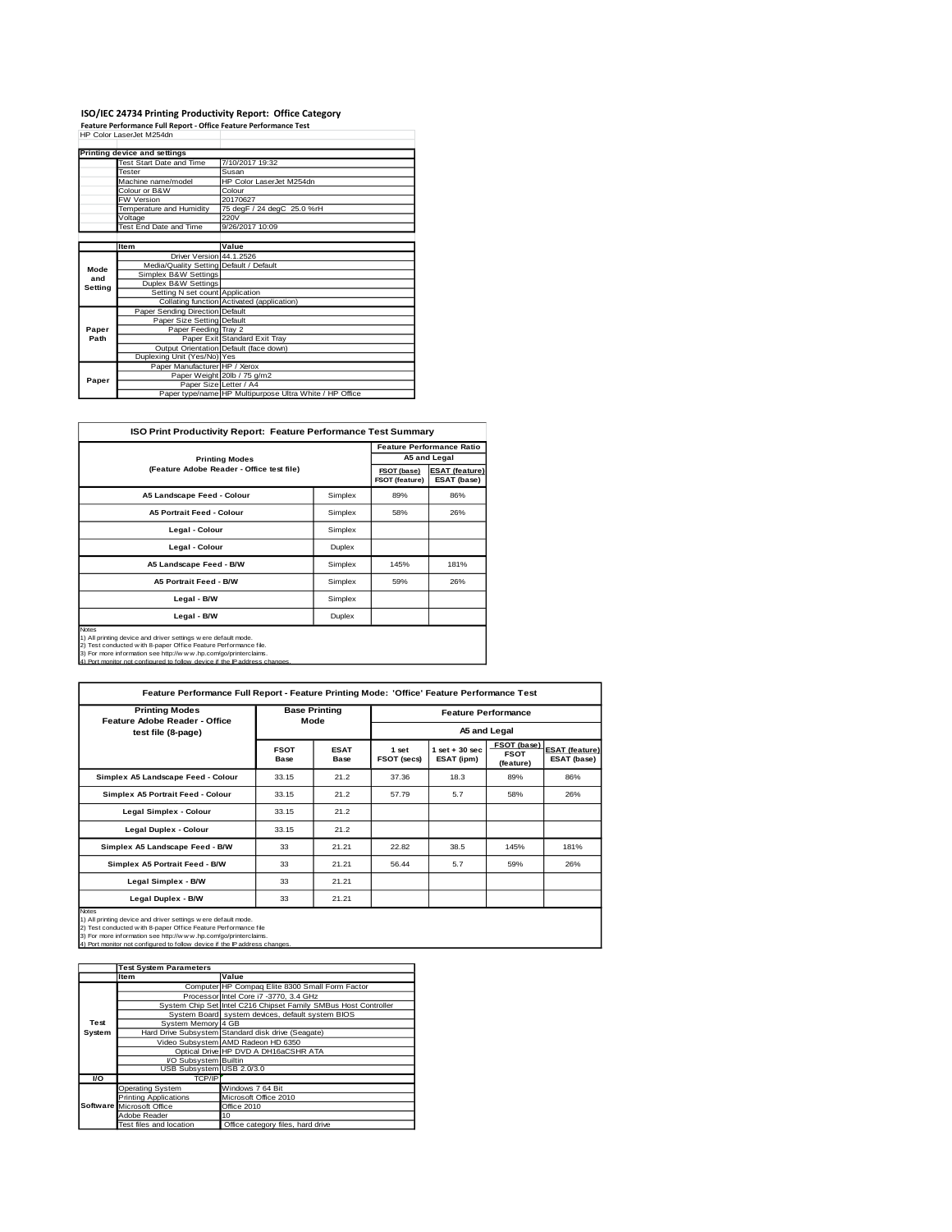## **ISO/IEC 24734 Printing Productivity Report: Office Category<br>Feature Performance Full Report - Office Feature Performance Test<br>HP Color LaserJet M254dn**

|         | Printing device and settings            |                                                         |
|---------|-----------------------------------------|---------------------------------------------------------|
|         | Test Start Date and Time                | 7/10/2017 19:32                                         |
|         | <b>Tester</b>                           | Susan                                                   |
|         | Machine name/model                      | HP Color LaserJet M254dn                                |
|         | Colour or B&W                           | Colour                                                  |
|         | <b>FW Version</b>                       | 20170627                                                |
|         | Temperature and Humidity                | 75 degF / 24 degC 25.0 %rH                              |
|         | Voltage                                 | 220V                                                    |
|         | Test End Date and Time                  | 9/26/2017 10:09                                         |
|         |                                         |                                                         |
|         | <b>Item</b>                             | Value                                                   |
|         | Driver Version 44.1.2526                |                                                         |
| Mode    | Media/Quality Setting Default / Default |                                                         |
| and     | Simplex B&W Settings                    |                                                         |
| Setting | Duplex B&W Settings                     |                                                         |
|         | Setting N set count Application         |                                                         |
|         |                                         | Collating function Activated (application)              |
|         | Paper Sending Direction Default         |                                                         |
|         | Paper Size Setting Default              |                                                         |
| Paper   | Paper Feeding Tray 2                    |                                                         |
| Path    |                                         | Paper Exit Standard Exit Tray                           |
|         |                                         | Output Orientation Default (face down)                  |
|         | Duplexing Unit (Yes/No) Yes             |                                                         |
|         | Paper Manufacturer HP / Xerox           |                                                         |
| Paper   |                                         | Paper Weight 20lb / 75 g/m2                             |
|         | Paper Size Letter / A4                  |                                                         |
|         |                                         | Paper type/name HP Multipurpose Ultra White / HP Office |

| <b>ISO Print Productivity Report: Feature Performance Test Summary</b>                                                                                                                                                                                                                        |                               |                                      |              |  |  |
|-----------------------------------------------------------------------------------------------------------------------------------------------------------------------------------------------------------------------------------------------------------------------------------------------|-------------------------------|--------------------------------------|--------------|--|--|
|                                                                                                                                                                                                                                                                                               |                               | <b>Feature Performance Ratio</b>     |              |  |  |
| <b>Printing Modes</b>                                                                                                                                                                                                                                                                         |                               |                                      | A5 and Legal |  |  |
| (Feature Adobe Reader - Office test file)                                                                                                                                                                                                                                                     | FSOT (base)<br>FSOT (feature) | <b>ESAT (feature)</b><br>ESAT (base) |              |  |  |
| A5 Landscape Feed - Colour                                                                                                                                                                                                                                                                    | Simplex                       | 89%                                  | 86%          |  |  |
| <b>A5 Portrait Feed - Colour</b>                                                                                                                                                                                                                                                              | Simplex                       | 58%                                  | 26%          |  |  |
| Legal - Colour                                                                                                                                                                                                                                                                                | Simplex                       |                                      |              |  |  |
| Legal - Colour                                                                                                                                                                                                                                                                                | Duplex                        |                                      |              |  |  |
| A5 Landscape Feed - B/W                                                                                                                                                                                                                                                                       | Simplex                       | 145%                                 | 181%         |  |  |
| <b>A5 Portrait Feed - B/W</b>                                                                                                                                                                                                                                                                 | Simplex                       | 59%                                  | 26%          |  |  |
| Legal - B/W                                                                                                                                                                                                                                                                                   | Simplex                       |                                      |              |  |  |
| Legal - B/W<br>Duplex                                                                                                                                                                                                                                                                         |                               |                                      |              |  |  |
| Notes<br>1) All printing device and driver settings w ere default mode.<br>2) Test conducted with 8-paper Office Feature Performance file.<br>3) For more information see http://w w w .hp.com/go/printerclaims.<br>4) Port monitor not configured to follow device if the IP address changes |                               |                                      |              |  |  |

| <b>Printing Modes</b>                                                                                                                                                                                                                                                                         | <b>Base Printing</b> |                     | <b>Feature Performance</b> |                                 |                                         |                                      |
|-----------------------------------------------------------------------------------------------------------------------------------------------------------------------------------------------------------------------------------------------------------------------------------------------|----------------------|---------------------|----------------------------|---------------------------------|-----------------------------------------|--------------------------------------|
| Feature Adobe Reader - Office<br>test file (8-page)                                                                                                                                                                                                                                           |                      | Mode                | A5 and Legal               |                                 |                                         |                                      |
|                                                                                                                                                                                                                                                                                               | <b>FSOT</b><br>Base  | <b>ESAT</b><br>Base | 1 set<br>FSOT (secs)       | $1$ set $+30$ sec<br>ESAT (ipm) | FSOT (base)<br><b>FSOT</b><br>(feature) | <b>ESAT (feature)</b><br>ESAT (base) |
| Simplex A5 Landscape Feed - Colour                                                                                                                                                                                                                                                            | 33.15                | 21.2                | 37.36                      | 18.3                            | 89%                                     | 86%                                  |
| Simplex A5 Portrait Feed - Colour                                                                                                                                                                                                                                                             | 33.15                | 21.2                | 57.79                      | 5.7                             | 58%                                     | 26%                                  |
| Legal Simplex - Colour                                                                                                                                                                                                                                                                        | 33.15                | 21.2                |                            |                                 |                                         |                                      |
| <b>Legal Duplex - Colour</b>                                                                                                                                                                                                                                                                  | 33.15                | 21.2                |                            |                                 |                                         |                                      |
| Simplex A5 Landscape Feed - B/W                                                                                                                                                                                                                                                               | 33                   | 21.21               | 22.82                      | 38.5                            | 145%                                    | 181%                                 |
| Simplex A5 Portrait Feed - B/W                                                                                                                                                                                                                                                                | 33                   | 21.21               | 56.44                      | 5.7                             | 59%                                     | 26%                                  |
| Legal Simplex - B/W                                                                                                                                                                                                                                                                           | 33                   | 21.21               |                            |                                 |                                         |                                      |
| Legal Duplex - B/W                                                                                                                                                                                                                                                                            | 33                   | 21.21               |                            |                                 |                                         |                                      |
| Notes<br>1) All printing device and driver settings were default mode.<br>2) Test conducted w ith 8-paper Office Feature Performance file<br>3) For more information see http://w w w .hp.com/go/printerclaims.<br>4) Port monitor not configured to follow device if the IP address changes. |                      |                     |                            |                                 |                                         |                                      |

|        | <b>Test System Parameters</b> |                                                                 |  |  |  |
|--------|-------------------------------|-----------------------------------------------------------------|--|--|--|
|        | <b>Item</b>                   | Value                                                           |  |  |  |
|        |                               | Computer HP Compaq Elite 8300 Small Form Factor                 |  |  |  |
|        |                               | Processor Intel Core i7 -3770, 3.4 GHz                          |  |  |  |
|        |                               | System Chip Set Intel C216 Chipset Family SMBus Host Controller |  |  |  |
|        |                               | System Board system devices, default system BIOS                |  |  |  |
| Test   | System Memory 4 GB            |                                                                 |  |  |  |
| System |                               | Hard Drive Subsystem Standard disk drive (Seagate)              |  |  |  |
|        |                               | Video Subsystem AMD Radeon HD 6350                              |  |  |  |
|        |                               | Optical Drive HP DVD A DH16aCSHR ATA                            |  |  |  |
|        | I/O Subsystem Builtin         |                                                                 |  |  |  |
|        | USB Subsystem USB 2.0/3.0     |                                                                 |  |  |  |
| VO.    | TCP/IP                        |                                                                 |  |  |  |
|        | <b>Operating System</b>       | Windows 7 64 Bit                                                |  |  |  |
|        | <b>Printing Applications</b>  | Microsoft Office 2010                                           |  |  |  |
|        | Software Microsoft Office     | Office 2010                                                     |  |  |  |
|        | Adobe Reader                  | 10                                                              |  |  |  |
|        | Test files and location       | Office category files, hard drive                               |  |  |  |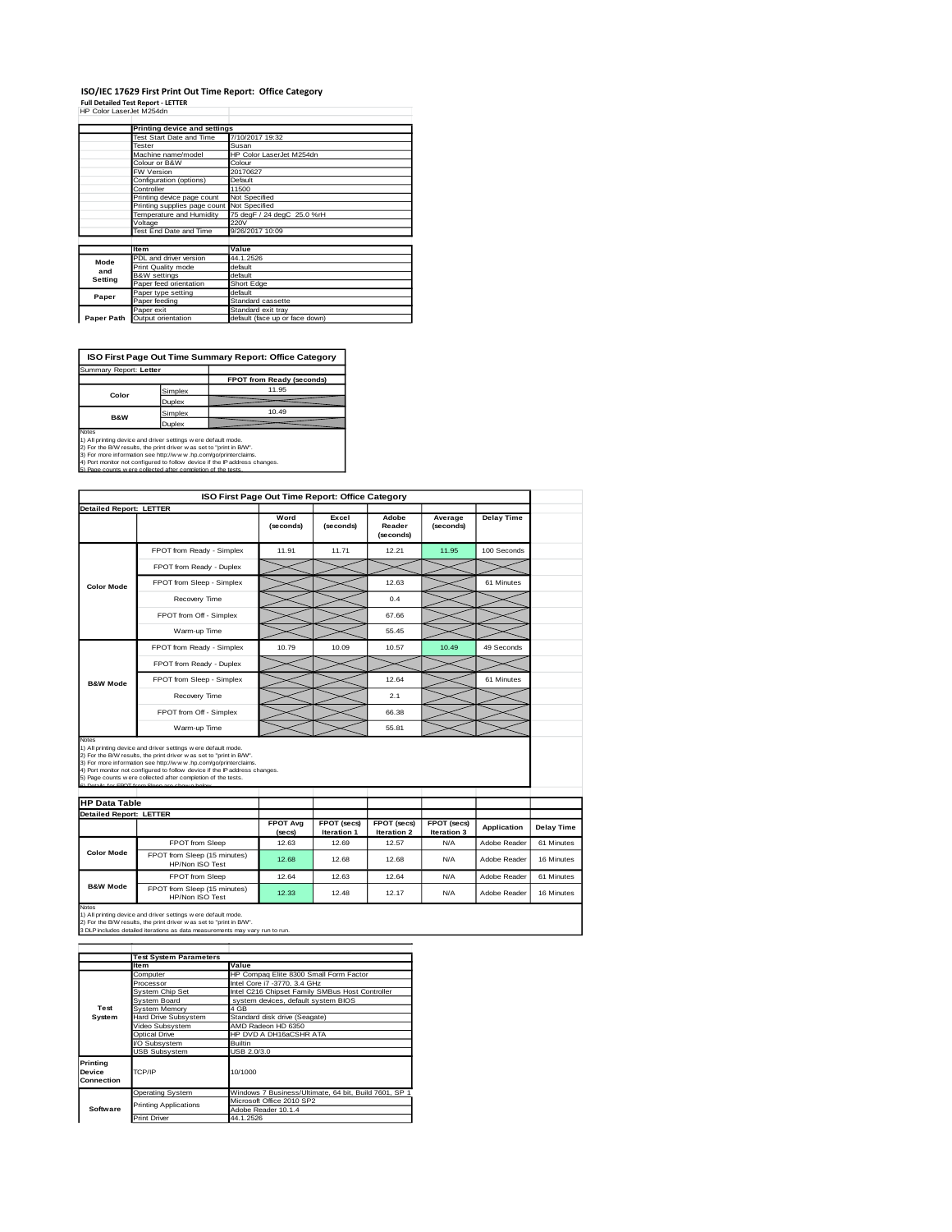#### **ISO/IEC 17629 First Print Out Time Report: Office Category Full Detailed Test Report - LETTER** HP Color LaserJet M254dn

|            | Printing device and settings               |                                |
|------------|--------------------------------------------|--------------------------------|
|            | Test Start Date and Time                   | 7/10/2017 19:32                |
|            | Tester                                     | Susan                          |
|            | Machine name/model                         | HP Color LaserJet M254dn       |
|            | Colour or B&W                              | Colour                         |
|            | FW Version                                 | 20170627                       |
|            | Configuration (options)                    | Default                        |
|            | Controller                                 | 11500                          |
|            | Printing device page count                 | Not Specified                  |
|            | Printing supplies page count Not Specified |                                |
|            | Temperature and Humidity                   | 75 degF / 24 degC 25.0 %rH     |
|            | Voltage                                    | 220V                           |
|            | Test End Date and Time                     | 9/26/2017 10:09                |
|            |                                            |                                |
|            | <b>Item</b>                                | Value                          |
| Mode       | PDL and driver version                     | 44.1.2526                      |
| and        | Print Quality mode                         | default                        |
| Setting    | <b>B&amp;W</b> settings                    | default                        |
|            | Paper feed orientation                     | Short Edge                     |
| Paper      | Paper type setting                         | default                        |
|            | Paper feeding                              | Standard cassette              |
|            | Paper exit                                 | Standard exit tray             |
| Paper Path | Output orientation                         | default (face up or face down) |

**ISO First Page Out Time Summary Report: Office Category**

**FPOT from Ready (second)** Simplex Duplex Simplex 10.49 Duplex Summary Report: **Letter Color B&W**

Notes<br>1) All printing device and driver settings were default mode.<br>2) For the BW results, the print driver was set to "print in BW".<br>3) For more information see http://www.hp.com/gofprinterclaims.<br>4) Port monitor not conf

|                                                                        | ISO First Page Out Time Report: Office Category                                                                                                                                                                                                                                                                                                                                                          |                           |                            |                                   |                            |                    |                   |
|------------------------------------------------------------------------|----------------------------------------------------------------------------------------------------------------------------------------------------------------------------------------------------------------------------------------------------------------------------------------------------------------------------------------------------------------------------------------------------------|---------------------------|----------------------------|-----------------------------------|----------------------------|--------------------|-------------------|
| <b>Detailed Report: LETTER</b>                                         |                                                                                                                                                                                                                                                                                                                                                                                                          | Word<br>(seconds)         | Excel<br>(seconds)         | Adobe<br>Reader<br>(seconds)      | Average<br>(seconds)       | <b>Delay Time</b>  |                   |
|                                                                        | FPOT from Ready - Simplex                                                                                                                                                                                                                                                                                                                                                                                | 11.91                     | 11.71                      | 12.21                             | 11.95                      | 100 Seconds        |                   |
|                                                                        | FPOT from Ready - Duplex                                                                                                                                                                                                                                                                                                                                                                                 |                           |                            |                                   |                            |                    |                   |
| <b>Color Mode</b>                                                      | FPOT from Sleep - Simplex                                                                                                                                                                                                                                                                                                                                                                                |                           |                            | 12.63                             |                            | 61 Minutes         |                   |
|                                                                        | Recovery Time                                                                                                                                                                                                                                                                                                                                                                                            |                           |                            | 0.4                               |                            |                    |                   |
|                                                                        | FPOT from Off - Simplex                                                                                                                                                                                                                                                                                                                                                                                  |                           |                            | 67.66                             |                            |                    |                   |
|                                                                        | Warm-up Time                                                                                                                                                                                                                                                                                                                                                                                             |                           |                            | 55.45                             |                            |                    |                   |
|                                                                        | FPOT from Ready - Simplex                                                                                                                                                                                                                                                                                                                                                                                | 10.79                     | 10.09                      | 10.57                             | 10.49                      | 49 Seconds         |                   |
|                                                                        | FPOT from Ready - Duplex                                                                                                                                                                                                                                                                                                                                                                                 |                           |                            |                                   |                            |                    |                   |
| <b>B&amp;W Mode</b>                                                    | FPOT from Sleep - Simplex                                                                                                                                                                                                                                                                                                                                                                                |                           |                            | 12.64                             |                            | 61 Minutes         |                   |
|                                                                        | Recovery Time                                                                                                                                                                                                                                                                                                                                                                                            |                           |                            | 2.1                               |                            |                    |                   |
|                                                                        |                                                                                                                                                                                                                                                                                                                                                                                                          |                           |                            |                                   |                            |                    |                   |
|                                                                        | FPOT from Off - Simplex                                                                                                                                                                                                                                                                                                                                                                                  |                           |                            | 66.38                             |                            |                    |                   |
|                                                                        | Warm-up Time                                                                                                                                                                                                                                                                                                                                                                                             |                           |                            | 55.81                             |                            |                    |                   |
| <b>Notes</b><br><b>HP Data Table</b><br><b>Detailed Report: LETTER</b> | 1) All printing device and driver settings were default mode.<br>2) For the B/W results, the print driver was set to "print in B/W".<br>3) For more information see http://www.hp.com/go/printerclaims.<br>4) Port monitor not configured to follow device if the IP address changes.<br>5) Page counts w ere collected after completion of the tests.<br>6) Details for FROT from Sleep are shown below |                           |                            |                                   |                            |                    |                   |
|                                                                        |                                                                                                                                                                                                                                                                                                                                                                                                          | <b>FPOT Avg</b><br>(secs) | FPOT (secs)<br>Iteration 1 | FPOT (secs)<br><b>Iteration 2</b> | FPOT (secs)<br>Iteration 3 | <b>Application</b> | <b>Delay Time</b> |
|                                                                        | <b>FPOT</b> from Sleep                                                                                                                                                                                                                                                                                                                                                                                   | 12.63                     | 12.69                      | 12.57                             | N/A                        | Adobe Reader       | 61 Minutes        |
| <b>Color Mode</b>                                                      | FPOT from Sleep (15 minutes)<br>HP/Non ISO Test                                                                                                                                                                                                                                                                                                                                                          | 12.68                     | 12.68                      | 12.68                             | N/A                        | Adobe Reader       | 16 Minutes        |
| <b>B&amp;W Mode</b>                                                    | FPOT from Sleep                                                                                                                                                                                                                                                                                                                                                                                          | 12.64                     | 12.63                      | 12.64                             | N/A                        | Adobe Reader       | 61 Minutes        |

1) All printing device and driver settings w ere default mode.<br>2) For the B/W results, the print driver w as set to "print in B/W".<br>3 DLP includes detailed iterations as data measurements may vary run to run.

|                                  | <b>Test System Parameters</b> |                                                       |
|----------------------------------|-------------------------------|-------------------------------------------------------|
|                                  | Item                          | Value                                                 |
|                                  | Computer                      | HP Compaq Elite 8300 Small Form Factor                |
|                                  | Processor                     | Intel Core i7 -3770, 3.4 GHz                          |
|                                  | System Chip Set               | Intel C216 Chipset Family SMBus Host Controller       |
|                                  | System Board                  | system devices, default system BIOS                   |
| Test                             | System Memory                 | 4 GB                                                  |
| System                           | Hard Drive Subsystem          | Standard disk drive (Seagate)                         |
|                                  | Video Subsystem               | AMD Radeon HD 6350                                    |
|                                  | Optical Drive                 | HP DVD A DH16aCSHR ATA                                |
|                                  | VO Subsystem                  | <b>Builtin</b>                                        |
|                                  | <b>USB Subsystem</b>          | USB 2.0/3.0                                           |
| Printing<br>Device<br>Connection | TCP/IP                        | 10/1000                                               |
|                                  | <b>Operating System</b>       | Windows 7 Business/Ultimate, 64 bit, Build 7601, SP 1 |
|                                  | <b>Printing Applications</b>  | Microsoft Office 2010 SP2                             |
| Software                         |                               | Adobe Reader 10.1.4                                   |
|                                  | <b>Print Driver</b>           | 44.1.2526                                             |